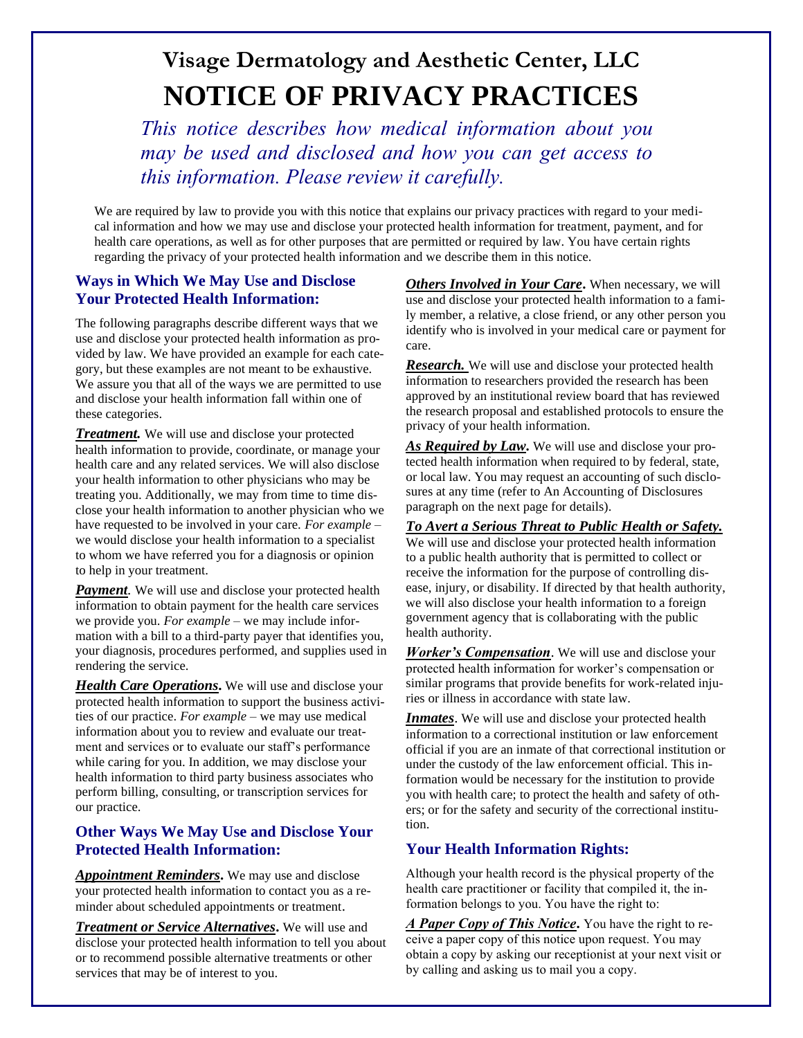# **Visage Dermatology and Aesthetic Center, LLC NOTICE OF PRIVACY PRACTICES**

*This notice describes how medical information about you may be used and disclosed and how you can get access to this information. Please review it carefully.*

We are required by law to provide you with this notice that explains our privacy practices with regard to your medical information and how we may use and disclose your protected health information for treatment, payment, and for health care operations, as well as for other purposes that are permitted or required by law. You have certain rights regarding the privacy of your protected health information and we describe them in this notice.

## **Ways in Which We May Use and Disclose Your Protected Health Information:**

The following paragraphs describe different ways that we use and disclose your protected health information as provided by law. We have provided an example for each category, but these examples are not meant to be exhaustive. We assure you that all of the ways we are permitted to use and disclose your health information fall within one of these categories.

*Treatment.* We will use and disclose your protected health information to provide, coordinate, or manage your health care and any related services. We will also disclose your health information to other physicians who may be treating you. Additionally, we may from time to time disclose your health information to another physician who we have requested to be involved in your care. *For example* – we would disclose your health information to a specialist to whom we have referred you for a diagnosis or opinion to help in your treatment.

*Payment*. We will use and disclose your protected health information to obtain payment for the health care services we provide you. *For example* – we may include information with a bill to a third-party payer that identifies you, your diagnosis, procedures performed, and supplies used in rendering the service.

*Health Care Operations***.** We will use and disclose your protected health information to support the business activities of our practice. *For example* – we may use medical information about you to review and evaluate our treatment and services or to evaluate our staff's performance while caring for you. In addition, we may disclose your health information to third party business associates who perform billing, consulting, or transcription services for our practice.

### **Other Ways We May Use and Disclose Your Protected Health Information:**

*Appointment Reminders***.** We may use and disclose your protected health information to contact you as a reminder about scheduled appointments or treatment.

*Treatment or Service Alternatives***.** We will use and disclose your protected health information to tell you about or to recommend possible alternative treatments or other services that may be of interest to you.

*Others Involved in Your Care***.** When necessary, we will use and disclose your protected health information to a family member, a relative, a close friend, or any other person you identify who is involved in your medical care or payment for care.

*Research.* We will use and disclose your protected health information to researchers provided the research has been approved by an institutional review board that has reviewed the research proposal and established protocols to ensure the privacy of your health information.

*As Required by Law***.** We will use and disclose your protected health information when required to by federal, state, or local law. You may request an accounting of such disclosures at any time (refer to An Accounting of Disclosures paragraph on the next page for details).

*To Avert a Serious Threat to Public Health or Safety.* We will use and disclose your protected health information to a public health authority that is permitted to collect or receive the information for the purpose of controlling disease, injury, or disability. If directed by that health authority, we will also disclose your health information to a foreign government agency that is collaborating with the public health authority.

*Worker's Compensation*. We will use and disclose your protected health information for worker's compensation or similar programs that provide benefits for work-related injuries or illness in accordance with state law.

**Inmates**. We will use and disclose your protected health information to a correctional institution or law enforcement official if you are an inmate of that correctional institution or under the custody of the law enforcement official. This information would be necessary for the institution to provide you with health care; to protect the health and safety of others; or for the safety and security of the correctional institution.

### **Your Health Information Rights:**

Although your health record is the physical property of the health care practitioner or facility that compiled it, the information belongs to you. You have the right to:

*A Paper Copy of This Notice***.** You have the right to receive a paper copy of this notice upon request. You may obtain a copy by asking our receptionist at your next visit or by calling and asking us to mail you a copy.